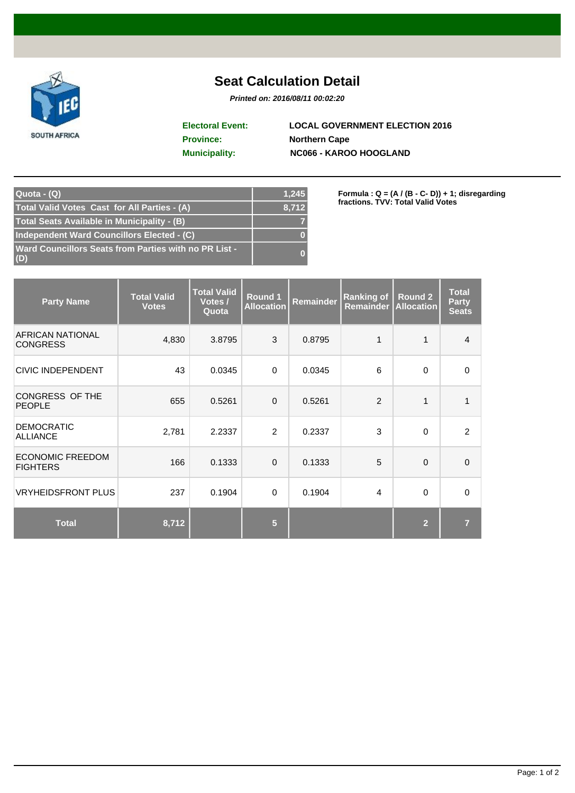

## **Seat Calculation Detail**

**Printed on: 2016/08/11 00:02:20**

**Province: Northern Cape Municipality: NC066 - KAROO HOOGLAND Electoral Event: LOCAL GOVERNMENT ELECTION 2016**

| Quota - (Q)                                                         | 1,245    |
|---------------------------------------------------------------------|----------|
| Total Valid Votes Cast for All Parties - (A)                        | 8,712    |
| Total Seats Available in Municipality - (B)                         |          |
| Independent Ward Councillors Elected - (C)                          | $\bf{0}$ |
| <b>Ward Councillors Seats from Parties with no PR List -</b><br>(D) | $\Omega$ |

**Formula : Q = (A / (B - C- D)) + 1; disregarding fractions. TVV: Total Valid Votes**

| <b>Party Name</b>                          | <b>Total Valid</b><br><b>Votes</b> | <b>Total Valid</b><br>Votes /<br>Quota | Round 1<br><b>Allocation</b> | <b>Remainder</b> | <b>Ranking of</b><br><b>Remainder</b> | Round 2<br><b>Allocation</b> | <b>Total</b><br><b>Party</b><br><b>Seats</b> |
|--------------------------------------------|------------------------------------|----------------------------------------|------------------------------|------------------|---------------------------------------|------------------------------|----------------------------------------------|
| <b>AFRICAN NATIONAL</b><br><b>CONGRESS</b> | 4,830                              | 3.8795                                 | 3                            | 0.8795           | 1                                     | 1                            | $\overline{4}$                               |
| <b>CIVIC INDEPENDENT</b>                   | 43                                 | 0.0345                                 | $\Omega$                     | 0.0345           | 6                                     | 0                            | $\Omega$                                     |
| <b>CONGRESS OF THE</b><br><b>PEOPLE</b>    | 655                                | 0.5261                                 | $\Omega$                     | 0.5261           | $\overline{2}$                        | 1                            | $\mathbf{1}$                                 |
| <b>DEMOCRATIC</b><br><b>ALLIANCE</b>       | 2,781                              | 2.2337                                 | 2                            | 0.2337           | 3                                     | $\Omega$                     | $\overline{2}$                               |
| <b>ECONOMIC FREEDOM</b><br><b>FIGHTERS</b> | 166                                | 0.1333                                 | $\Omega$                     | 0.1333           | 5                                     | $\Omega$                     | $\Omega$                                     |
| <b>VRYHEIDSFRONT PLUS</b>                  | 237                                | 0.1904                                 | $\Omega$                     | 0.1904           | 4                                     | $\Omega$                     | $\Omega$                                     |
| <b>Total</b>                               | 8,712                              |                                        | $5\phantom{.0}$              |                  |                                       | $\overline{2}$               | $\overline{7}$                               |